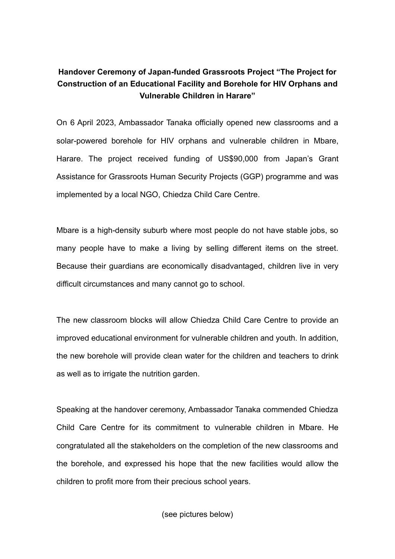## **Handover Ceremony of Japan-funded Grassroots Project "The Project for Construction of an Educational Facility and Borehole for HIV Orphans and Vulnerable Children in Harare"**

On 6 April 2023, Ambassador Tanaka officially opened new classrooms and a solar-powered borehole for HIV orphans and vulnerable children in Mbare, Harare. The project received funding of US\$90,000 from Japan's Grant Assistance for Grassroots Human Security Projects (GGP) programme and was implemented by a local NGO, Chiedza Child Care Centre.

Mbare is a high-density suburb where most people do not have stable jobs, so many people have to make a living by selling different items on the street. Because their guardians are economically disadvantaged, children live in very difficult circumstances and many cannot go to school.

The new classroom blocks will allow Chiedza Child Care Centre to provide an improved educational environment for vulnerable children and youth. In addition, the new borehole will provide clean water for the children and teachers to drink as well as to irrigate the nutrition garden.

Speaking at the handover ceremony, Ambassador Tanaka commended Chiedza Child Care Centre for its commitment to vulnerable children in Mbare. He congratulated all the stakeholders on the completion of the new classrooms and the borehole, and expressed his hope that the new facilities would allow the children to profit more from their precious school years.

(see pictures below)